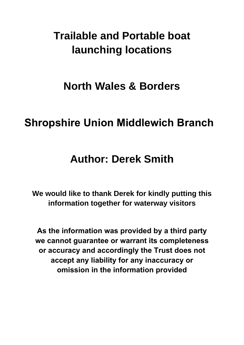# **Trailable and Portable boat launching locations**

# **North Wales & Borders**

# **Shropshire Union Middlewich Branch**

# **Author: Derek Smith**

**We would like to thank Derek for kindly putting this information together for waterway visitors** 

**As the information was provided by a third party we cannot guarantee or warrant its completeness or accuracy and accordingly the Trust does not accept any liability for any inaccuracy or omission in the information provided**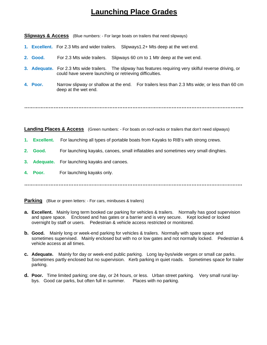## **Launching Place Grades**

**Slipways & Access** (Blue numbers: - For large boats on trailers that need slipways)

- **1. Excellent.** For 2.3 Mts and wider trailers.Slipways1.2+ Mts deep at the wet end.
- **2. Good.** For 2.3 Mts wide trailers. Slipways 60 cm to 1 Mtr deep at the wet end.
- **3. Adequate.** For 2.3 Mts wide trailers.The slipway has features requiring very skilful reverse driving, or could have severe launching or retrieving difficulties.
- **4. Poor.** Narrow slipway or shallow at the end. For trailers less than 2.3 Mts wide; or less than 60 cm deep at the wet end.

**……………………………………………………………………………………………………………………..**

**Landing Places & Access** (Green numbers: - For boats on roof-racks or trailers that don't need slipways)

- **1. Excellent.** For launching all types of portable boats from Kayaks to RIB's with strong crews.
- **2. Good.** For launching kayaks, canoes, small inflatables and sometimes very small dinghies.
- **3. Adequate.** For launching kayaks and canoes.
- **4. Poor.** For launching kayaks only.

**…………………………………………………………………………………………………………………….** 

**Parking** (Blue or green letters: - For cars, minibuses & trailers)

- **a. Excellent.** Mainly long term booked car parking for vehicles & trailers.Normally has good supervision and spare space.Enclosed and has gates or a barrier and is very secure. Kept locked or locked overnight by staff or users. Pedestrian & vehicle access restricted or monitored.
- **b. Good.** Mainly long or week-end parking for vehicles & trailers.Normally with spare space and sometimes supervised.Mainly enclosed but with no or low gates and not normally locked. Pedestrian & vehicle access at all times.
- **c. Adequate.** Mainly for day or week-end public parking. Long lay-bys/wide verges or small car parks. Sometimes partly enclosed but no supervision. Kerb parking in quiet roads. Sometimes space for trailer parking.
- **d. Poor.** Time limited parking; one day, or 24 hours, or less. Urban street parking. Very small rural laybys. Good car parks, but often full in summer. Places with no parking.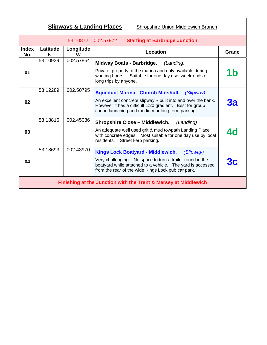| <b>Slipways &amp; Landing Places</b><br><b>Shropshire Union Middlewich Branch</b> |               |                |                                                                                                                                                                                                                                           |                |  |
|-----------------------------------------------------------------------------------|---------------|----------------|-------------------------------------------------------------------------------------------------------------------------------------------------------------------------------------------------------------------------------------------|----------------|--|
| <b>Starting at Barbridge Junction</b><br>53.10872, 002.57972                      |               |                |                                                                                                                                                                                                                                           |                |  |
| <b>Index</b><br>No.                                                               | Latitude<br>N | Longitude<br>W | Location                                                                                                                                                                                                                                  | Grade          |  |
| 01                                                                                | 53.10939.     | 002.57864      | <b>Midway Boats - Barbridge.</b><br>(Landing)<br>Private, property of the marina and only available during<br>working hours. Suitable for one day use, week-ends or<br>long trips by anyone.                                              | 1 <sub>b</sub> |  |
| 02                                                                                | 53.12289,     | 002.50795      | <b>Aqueduct Marina - Church Minshull.</b> (Slipway)<br>An excellent concrete slipway $\sim$ built into and over the bank.<br>However it has a difficult 1:20 gradient. Best for group<br>canoe launching and medium or long term parking. | За             |  |
| 03                                                                                | 53.18816,     | 002.45036      | <b>Shropshire Close - Middlewich.</b><br>(Landing)<br>An adequate well used grit & mud towpath Landing Place<br>with concrete edges. Most suitable for one day use by local<br>Street kerb parking.<br>residents.                         | <b>4d</b>      |  |
| 04                                                                                | 53.18693,     | 002.43970      | Kings Lock Boatyard - Middlewich.<br>(Slipway)<br>Very challenging. No space to turn a trailer round in the<br>boatyard while attached to a vehicle. The yard is accessed<br>from the rear of the wide Kings Lock pub car park.           |                |  |
| Finishing at the Junction with the Trent & Mersey at Middlewich                   |               |                |                                                                                                                                                                                                                                           |                |  |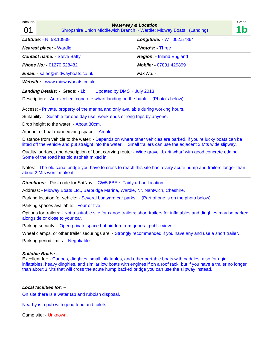| Index No.                                                                                                                                                                                                                                                                                                                                                           |                                                                                                               | <b>Waterway &amp; Location</b>                                                                                            | Grade     |  |  |
|---------------------------------------------------------------------------------------------------------------------------------------------------------------------------------------------------------------------------------------------------------------------------------------------------------------------------------------------------------------------|---------------------------------------------------------------------------------------------------------------|---------------------------------------------------------------------------------------------------------------------------|-----------|--|--|
| 01                                                                                                                                                                                                                                                                                                                                                                  |                                                                                                               | Shropshire Union Middlewich Branch ~ Wardle; Midway Boats (Landing)                                                       | $\dot{b}$ |  |  |
|                                                                                                                                                                                                                                                                                                                                                                     | Latitude: - N 53.10939                                                                                        | Longitude: - W 002.57864                                                                                                  |           |  |  |
| <b>Nearest place: - Wardle.</b>                                                                                                                                                                                                                                                                                                                                     |                                                                                                               | Photo's: - Three                                                                                                          |           |  |  |
| <b>Contact name:</b> - Steve Batty                                                                                                                                                                                                                                                                                                                                  |                                                                                                               | <b>Region: - Inland England</b>                                                                                           |           |  |  |
|                                                                                                                                                                                                                                                                                                                                                                     | Phone No: - 01270 528482                                                                                      | Mobile: - 07831 429899                                                                                                    |           |  |  |
|                                                                                                                                                                                                                                                                                                                                                                     | Email: - sales@midwayboats.co.uk                                                                              | Fax No: -                                                                                                                 |           |  |  |
|                                                                                                                                                                                                                                                                                                                                                                     | Website: - www.midwayboats.co.uk                                                                              |                                                                                                                           |           |  |  |
|                                                                                                                                                                                                                                                                                                                                                                     | <b>Landing Details: - Grade: - 1b</b><br>Updated by DMS $\sim$ July 2013                                      |                                                                                                                           |           |  |  |
|                                                                                                                                                                                                                                                                                                                                                                     | Description: - An excellent concrete wharf landing on the bank. (Photo's below)                               |                                                                                                                           |           |  |  |
|                                                                                                                                                                                                                                                                                                                                                                     | Access: - Private, property of the marina and only available during working hours.                            |                                                                                                                           |           |  |  |
|                                                                                                                                                                                                                                                                                                                                                                     | Suitability: - Suitable for one day use, week-ends or long trips by anyone.                                   |                                                                                                                           |           |  |  |
|                                                                                                                                                                                                                                                                                                                                                                     | Drop height to the water: - About 30cm.                                                                       |                                                                                                                           |           |  |  |
|                                                                                                                                                                                                                                                                                                                                                                     | Amount of boat manoeuvring space: - Ample.                                                                    |                                                                                                                           |           |  |  |
| Distance from vehicle to the water: - Depends on where other vehicles are parked, if you're lucky boats can be<br>lifted off the vehicle and put straight into the water. Small trailers can use the adjacent 3 Mts wide slipway.                                                                                                                                   |                                                                                                               |                                                                                                                           |           |  |  |
|                                                                                                                                                                                                                                                                                                                                                                     | Some of the road has old asphalt mixed in.                                                                    | Quality, surface, and description of boat carrying route: - Wide gravel & grit wharf with good concrete edging.           |           |  |  |
|                                                                                                                                                                                                                                                                                                                                                                     | about 2 Mts won't make it.                                                                                    | Notes: - The old canal bridge you have to cross to reach this site has a very acute hump and trailers longer than         |           |  |  |
|                                                                                                                                                                                                                                                                                                                                                                     | <b>Directions:</b> - Post code for SatNav: $\text{-}$ CW5 6BE $\text{-}$ Fairly urban location.               |                                                                                                                           |           |  |  |
|                                                                                                                                                                                                                                                                                                                                                                     | Address: - Midway Boats Ltd., Barbridge Marina, Wardle, Nr. Nantwich, Cheshire.                               |                                                                                                                           |           |  |  |
|                                                                                                                                                                                                                                                                                                                                                                     | Parking location for vehicle: - Several boatyard car parks. (Part of one is on the photo below)               |                                                                                                                           |           |  |  |
|                                                                                                                                                                                                                                                                                                                                                                     | Parking spaces available: - Four or five.                                                                     |                                                                                                                           |           |  |  |
|                                                                                                                                                                                                                                                                                                                                                                     | alongside or close to your car.                                                                               | Options for trailers: - Not a suitable site for canoe trailers; short trailers for inflatables and dinghies may be parked |           |  |  |
|                                                                                                                                                                                                                                                                                                                                                                     | Parking security: - Open private space but hidden from general public view.                                   |                                                                                                                           |           |  |  |
|                                                                                                                                                                                                                                                                                                                                                                     | Wheel clamps, or other trailer securings are: - Strongly recommended if you have any and use a short trailer. |                                                                                                                           |           |  |  |
|                                                                                                                                                                                                                                                                                                                                                                     | Parking period limits: - Negotiable.                                                                          |                                                                                                                           |           |  |  |
| <b>Suitable Boats: -</b><br>Excellent for: - Canoes, dinghies, small inflatables, and other portable boats with paddles, also for rigid<br>inflatables, heavy dinghies, and similar low boats with engines if on a roof rack, but if you have a trailer no longer<br>than about 3 Mts that will cross the acute hump backed bridge you can use the slipway instead. |                                                                                                               |                                                                                                                           |           |  |  |
|                                                                                                                                                                                                                                                                                                                                                                     | Local facilities for: -                                                                                       |                                                                                                                           |           |  |  |
|                                                                                                                                                                                                                                                                                                                                                                     | On site there is a water tap and rubbish disposal.                                                            |                                                                                                                           |           |  |  |
|                                                                                                                                                                                                                                                                                                                                                                     | Nearby is a pub with good food and toilets.                                                                   |                                                                                                                           |           |  |  |

Camp site: - Unknown.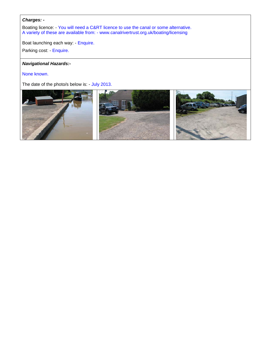### *Charges: -*

Boating licence: - You will need a C&RT licence to use the canal or some alternative. A variety of these are available from: - www.canalrivertrust.org.uk/boating/licensing

Boat launching each way: - Enquire.

Parking cost: - Enquire.

### *Navigational Hazards:-*

None known.

The date of the photo/s below is: - July 2013.

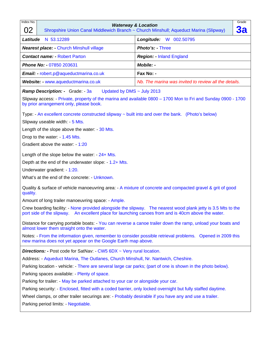| Index No.<br>02                                                                                                                                                                                                      |                                                                                                   | Grade<br><b>Waterway &amp; Location</b><br><b>3a</b><br>Shropshire Union Canal Middlewich Branch ~ Church Minshull; Aqueduct Marina (Slipway) |  |  |
|----------------------------------------------------------------------------------------------------------------------------------------------------------------------------------------------------------------------|---------------------------------------------------------------------------------------------------|-----------------------------------------------------------------------------------------------------------------------------------------------|--|--|
| Latitude                                                                                                                                                                                                             | N 53.12289                                                                                        | Longitude: W 002.50795                                                                                                                        |  |  |
|                                                                                                                                                                                                                      | <b>Nearest place: - Church Minshull village</b>                                                   | Photo's: - Three                                                                                                                              |  |  |
|                                                                                                                                                                                                                      | <b>Contact name: - Robert Parton</b>                                                              | <b>Region: - Inland England</b>                                                                                                               |  |  |
|                                                                                                                                                                                                                      | Phone No: - 07850 203631                                                                          | <b>Mobile: -</b>                                                                                                                              |  |  |
|                                                                                                                                                                                                                      | Email: - robert.p@aqueductmarina.co.uk                                                            | Fax No: -                                                                                                                                     |  |  |
|                                                                                                                                                                                                                      | Website: - www.aqueductmarina.co.uk                                                               | Nb. The marina was invited to review all the details.                                                                                         |  |  |
|                                                                                                                                                                                                                      | Ramp Description: - Grade: - 3a<br>Updated by DMS $\sim$ July 2013                                |                                                                                                                                               |  |  |
| Slipway access: - Private, property of the marina and available 0800 – 1700 Mon to Fri and Sunday 0900 - 1700<br>by prior arrangement only, please book.                                                             |                                                                                                   |                                                                                                                                               |  |  |
|                                                                                                                                                                                                                      | Type: - An excellent concrete constructed slipway ~ built into and over the bank. (Photo's below) |                                                                                                                                               |  |  |
|                                                                                                                                                                                                                      | Slipway useable width: - 5 Mts.                                                                   |                                                                                                                                               |  |  |
|                                                                                                                                                                                                                      | Length of the slope above the water: - 30 Mts.                                                    |                                                                                                                                               |  |  |
|                                                                                                                                                                                                                      | Drop to the water: - 1.45 Mts.                                                                    |                                                                                                                                               |  |  |
| Gradient above the water: - 1:20                                                                                                                                                                                     |                                                                                                   |                                                                                                                                               |  |  |
| Length of the slope below the water: $-24+Mts$ .                                                                                                                                                                     |                                                                                                   |                                                                                                                                               |  |  |
| Depth at the end of the underwater slope: - 1.2+ Mts.                                                                                                                                                                |                                                                                                   |                                                                                                                                               |  |  |
| Underwater gradient: - 1:20.                                                                                                                                                                                         |                                                                                                   |                                                                                                                                               |  |  |
| What's at the end of the concrete: - Unknown.                                                                                                                                                                        |                                                                                                   |                                                                                                                                               |  |  |
| Quality & surface of vehicle manoeuvring area: - A mixture of concrete and compacted gravel & grit of good<br>quality.                                                                                               |                                                                                                   |                                                                                                                                               |  |  |
|                                                                                                                                                                                                                      | Amount of long trailer manoeuvring space: - Ample.                                                |                                                                                                                                               |  |  |
| Crew boarding facility: - None provided alongside the slipway. The nearest wood plank jetty is 3.5 Mts to the<br>port side of the slipway. An excellent place for launching canoes from and is 40cm above the water. |                                                                                                   |                                                                                                                                               |  |  |
| Distance for carrying portable boats: - You can reverse a canoe trailer down the ramp, unload your boats and<br>almost lower them straight onto the water.                                                           |                                                                                                   |                                                                                                                                               |  |  |
| Notes: - From the information given, remember to consider possible retrieval problems. Opened in 2009 this<br>new marina does not yet appear on the Google Earth map above.                                          |                                                                                                   |                                                                                                                                               |  |  |
|                                                                                                                                                                                                                      | <b>Directions:</b> - Post code for SatNav: $-CW5 6DX \sim Very$ rural location.                   |                                                                                                                                               |  |  |
| Address: - Aqueduct Marina, The Outlanes, Church Minshull, Nr. Nantwich, Cheshire.                                                                                                                                   |                                                                                                   |                                                                                                                                               |  |  |
| Parking location - vehicle: - There are several large car parks; (part of one is shown in the photo below).                                                                                                          |                                                                                                   |                                                                                                                                               |  |  |
| Parking spaces available: - Plenty of space.                                                                                                                                                                         |                                                                                                   |                                                                                                                                               |  |  |
| Parking for trailer: - May be parked attached to your car or alongside your car.                                                                                                                                     |                                                                                                   |                                                                                                                                               |  |  |
| Parking security: - Enclosed, fitted with a coded barrier, only locked overnight but fully staffed daytime.                                                                                                          |                                                                                                   |                                                                                                                                               |  |  |
| Wheel clamps, or other trailer securings are: - Probably desirable if you have any and use a trailer.                                                                                                                |                                                                                                   |                                                                                                                                               |  |  |
|                                                                                                                                                                                                                      | Parking period limits: - Negotiable.                                                              |                                                                                                                                               |  |  |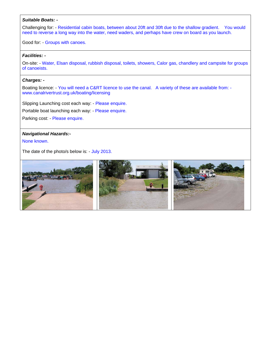#### *Suitable Boats:* **-**

Challenging for: - Residential cabin boats, between about 20ft and 30ft due to the shallow gradient. You would need to reverse a long way into the water, need waders, and perhaps have crew on board as you launch.

Good for: - Groups with canoes.

#### *Facilities: -*

On-site: - Water, Elsan disposal, rubbish disposal, toilets, showers, Calor gas, chandlery and campsite for groups of canoeists. 

### *Charges: -*

Boating licence: - You will need a C&RT licence to use the canal. A variety of these are available from: www.canalrivertrust.org.uk/boating/licensing

Slipping Launching cost each way: - Please enquire.

Portable boat launching each way: - Please enquire.

Parking cost: - Please enquire.

### *Navigational Hazards:-*

None known.

The date of the photo/s below is: - July 2013.

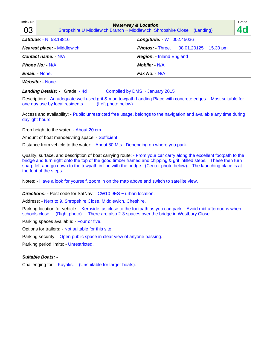| Index No.<br>03                                                                                                                                                                                                                                                                                                                                                                                                                                                                  | Grade<br><b>Waterway &amp; Location</b><br><b>4d</b><br>Shropshire U Middlewich Branch ~ Middlewich; Shropshire Close (Landing) |  |  |  |
|----------------------------------------------------------------------------------------------------------------------------------------------------------------------------------------------------------------------------------------------------------------------------------------------------------------------------------------------------------------------------------------------------------------------------------------------------------------------------------|---------------------------------------------------------------------------------------------------------------------------------|--|--|--|
| Latitude: - N 53.18816                                                                                                                                                                                                                                                                                                                                                                                                                                                           | Longitude: - W 002.45036                                                                                                        |  |  |  |
| <b>Nearest place: - Middlewich</b>                                                                                                                                                                                                                                                                                                                                                                                                                                               | <b>Photos: Three.</b><br>$08.01.20125 \sim 15.30$ pm                                                                            |  |  |  |
| Contact name: - N/A                                                                                                                                                                                                                                                                                                                                                                                                                                                              | <b>Region: - Inland England</b>                                                                                                 |  |  |  |
| <b>Phone No: - N/A</b>                                                                                                                                                                                                                                                                                                                                                                                                                                                           | Mobile: $- N/A$                                                                                                                 |  |  |  |
| <b>Email: None.</b>                                                                                                                                                                                                                                                                                                                                                                                                                                                              | Fax No: $-N/A$                                                                                                                  |  |  |  |
| Website: - None.                                                                                                                                                                                                                                                                                                                                                                                                                                                                 |                                                                                                                                 |  |  |  |
| <b>Landing Details: - Grade: - 4d</b>                                                                                                                                                                                                                                                                                                                                                                                                                                            | Compiled by DMS ~ January 2015                                                                                                  |  |  |  |
| Description: - An adequate well used grit & mud towpath Landing Place with concrete edges.  Most suitable for<br>one day use by local residents.<br>(Left photo below)<br>Access and availability: - Public unrestricted free usage, belongs to the navigation and available any time during<br>daylight hours.                                                                                                                                                                  |                                                                                                                                 |  |  |  |
|                                                                                                                                                                                                                                                                                                                                                                                                                                                                                  |                                                                                                                                 |  |  |  |
| Drop height to the water: - About 20 cm.                                                                                                                                                                                                                                                                                                                                                                                                                                         |                                                                                                                                 |  |  |  |
| Amount of boat manoeuvring space: - Sufficient.<br>Distance from vehicle to the water: - About 80 Mts. Depending on where you park.                                                                                                                                                                                                                                                                                                                                              |                                                                                                                                 |  |  |  |
| Quality, surface, and description of boat carrying route: - From your car carry along the excellent footpath to the<br>bridge and turn right onto the top of the good timber framed and chipping & grit infilled steps. These then turn<br>sharp left and go down to the towpath in line with the bridge. (Center photo below). The launching place is at<br>the foot of the steps.<br>Notes: - Have a look for yourself, zoom in on the map above and switch to satellite view. |                                                                                                                                 |  |  |  |
| <b>Directions: - Post code for SatNav: - CW10 9ES ~ urban location.</b>                                                                                                                                                                                                                                                                                                                                                                                                          |                                                                                                                                 |  |  |  |
| Address: - Next to 9, Shropshire Close, Middlewich, Cheshire.                                                                                                                                                                                                                                                                                                                                                                                                                    |                                                                                                                                 |  |  |  |
| Parking location for vehicle: - Kerbside, as close to the footpath as you can park. Avoid mid-afternoons when<br>schools close. (Right photo) There are also 2-3 spaces over the bridge in Westbury Close.                                                                                                                                                                                                                                                                       |                                                                                                                                 |  |  |  |
| Parking spaces available: - Four or five.                                                                                                                                                                                                                                                                                                                                                                                                                                        |                                                                                                                                 |  |  |  |
| Options for trailers: - Not suitable for this site.                                                                                                                                                                                                                                                                                                                                                                                                                              |                                                                                                                                 |  |  |  |
| Parking security: - Open public space in clear view of anyone passing.                                                                                                                                                                                                                                                                                                                                                                                                           |                                                                                                                                 |  |  |  |
| Parking period limits: - Unrestricted.                                                                                                                                                                                                                                                                                                                                                                                                                                           |                                                                                                                                 |  |  |  |
| <b>Suitable Boats: -</b><br>Challenging for - Kayaks.<br>(Unsuitable for larger boats).                                                                                                                                                                                                                                                                                                                                                                                          |                                                                                                                                 |  |  |  |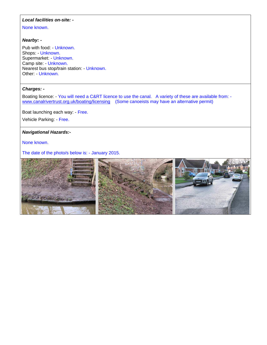### *Local facilities on-site: -*

None known.

#### *Nearby: -*

Pub with food: - Unknown. Shops: - Unknown. Supermarket: - Unknown. Camp site: - Unknown. Nearest bus stop/train station: - Unknown. Other: - Unknown.

### *Charges: -*

Boating licence: - You will need a C&RT licence to use the canal. A variety of these are available from: www.canalrivertrust.org.uk/boating/licensing (Some canoeists may have an alternative permit)

Boat launching each way: - Free.

Vehicle Parking: - Free.

### *Navigational Hazards:-*

None known.

The date of the photo/s below is: - January 2015.

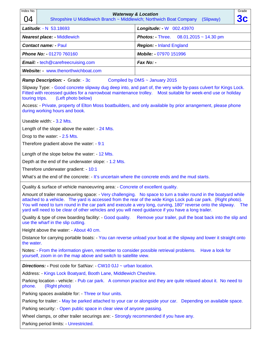| Index No.                                                                                       | Grade                                                                                                                                                                                                                                                                                                                                                                                                                                                                 |
|-------------------------------------------------------------------------------------------------|-----------------------------------------------------------------------------------------------------------------------------------------------------------------------------------------------------------------------------------------------------------------------------------------------------------------------------------------------------------------------------------------------------------------------------------------------------------------------|
| 04                                                                                              | <b>Waterway &amp; Location</b><br><b>3c</b><br>Shropshire U Middlewich Branch ~ Middlewich; Northwich Boat Company<br>(Slipway)                                                                                                                                                                                                                                                                                                                                       |
| Latitude: - N 53.18693                                                                          | Longitude: - W 002.43970                                                                                                                                                                                                                                                                                                                                                                                                                                              |
| <b>Nearest place: - Middlewich</b>                                                              | <b>Photos: - Three.</b><br>$08.01.2015 \sim 14.30$ pm                                                                                                                                                                                                                                                                                                                                                                                                                 |
| <b>Contact name: - Paul</b>                                                                     | <b>Region: - Inland England</b>                                                                                                                                                                                                                                                                                                                                                                                                                                       |
| Phone No: - 01270 760160                                                                        | Mobile: - 07970 151996                                                                                                                                                                                                                                                                                                                                                                                                                                                |
| <b>Email:</b> - tech@carefreecruising.com                                                       | Fax No: -                                                                                                                                                                                                                                                                                                                                                                                                                                                             |
| Website: - www.thenorthwichboat.com                                                             |                                                                                                                                                                                                                                                                                                                                                                                                                                                                       |
| <b>Ramp Description: - Grade: - 3c</b>                                                          | Compiled by DMS ~ January 2015                                                                                                                                                                                                                                                                                                                                                                                                                                        |
| (Left photo below)<br>touring trips.                                                            | Slipway Type: - Good concrete slipway dug deep into, and part of, the very wide by-pass culvert for Kings Lock.<br>Fitted with recessed guides for a narrowboat maintenance trolley.  Most suitable for week-end use or holiday                                                                                                                                                                                                                                       |
| during working hours and book.                                                                  | Access: - Private, property of Elton Moss boatbuilders, and only available by prior arrangement, please phone                                                                                                                                                                                                                                                                                                                                                         |
| Useable width: - 3.2 Mts.                                                                       |                                                                                                                                                                                                                                                                                                                                                                                                                                                                       |
| Length of the slope above the water: - 24 Mts.                                                  |                                                                                                                                                                                                                                                                                                                                                                                                                                                                       |
| Drop to the water: - 2.5 Mts.                                                                   |                                                                                                                                                                                                                                                                                                                                                                                                                                                                       |
| Therefore gradient above the water: - 9:1                                                       |                                                                                                                                                                                                                                                                                                                                                                                                                                                                       |
| Length of the slope below the water: - 12 Mts.                                                  |                                                                                                                                                                                                                                                                                                                                                                                                                                                                       |
| Depth at the end of the underwater slope: 1.2 Mts.                                              |                                                                                                                                                                                                                                                                                                                                                                                                                                                                       |
| Therefore underwater gradient: - 10:1                                                           |                                                                                                                                                                                                                                                                                                                                                                                                                                                                       |
|                                                                                                 | What's at the end of the concrete: - It's uncertain where the concrete ends and the mud starts.                                                                                                                                                                                                                                                                                                                                                                       |
| Quality & surface of vehicle manoeuvring area: - Concrete of excellent quality.                 |                                                                                                                                                                                                                                                                                                                                                                                                                                                                       |
|                                                                                                 | Amount of trailer manoeuvring space: - Very challenging. No space to turn a trailer round in the boatyard while<br>attached to a vehicle. The yard is accessed from the rear of the wide Kings Lock pub car park. (Right photo).<br>You will need to turn round in the car park and execute a very long, curving, 180° reverse onto the slipway.<br><b>The</b><br>yard will need to be clear of other vehicles and you will need guidance if you have a long trailer. |
| Quality & type of crew boarding facility: - Good quality.<br>use the wharf in the slip cutting. | Remove your trailer, pull the boat back into the slip and                                                                                                                                                                                                                                                                                                                                                                                                             |
| Height above the water: - About 40 cm.                                                          |                                                                                                                                                                                                                                                                                                                                                                                                                                                                       |
| the water.                                                                                      | Distance for carrying portable boats: - You can reverse unload your boat at the slipway and lower it straight onto                                                                                                                                                                                                                                                                                                                                                    |
| yourself, zoom in on the map above and switch to satellite view.                                | Notes: - From the information given, remember to consider possible retrieval problems. Have a look for                                                                                                                                                                                                                                                                                                                                                                |
| <b>Directions:</b> - Post code for SatNav: - CW10 0JJ ~ urban location.                         |                                                                                                                                                                                                                                                                                                                                                                                                                                                                       |
| Address: - Kings Lock Boatyard, Booth Lane, Middlewich Cheshire.                                |                                                                                                                                                                                                                                                                                                                                                                                                                                                                       |
| phone.<br>(Right photo)                                                                         | Parking location - vehicle: - Pub car park. A common practice and they are quite relaxed about it. No need to                                                                                                                                                                                                                                                                                                                                                         |
| Parking spaces available for: - Three or four units.                                            |                                                                                                                                                                                                                                                                                                                                                                                                                                                                       |
|                                                                                                 | Parking for trailer: - May be parked attached to your car or alongside your car. Depending on available space.                                                                                                                                                                                                                                                                                                                                                        |
| Parking security: Open public space in clear view of anyone passing.                            |                                                                                                                                                                                                                                                                                                                                                                                                                                                                       |
| Wheel clamps, or other trailer securings are: - Strongly recommended if you have any.           |                                                                                                                                                                                                                                                                                                                                                                                                                                                                       |
| Parking period limits: - Unrestricted.                                                          |                                                                                                                                                                                                                                                                                                                                                                                                                                                                       |